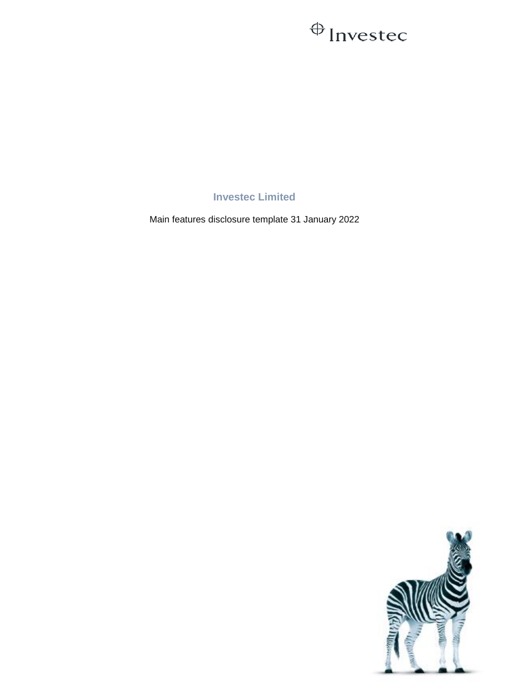## $\oplus$  Invested

**Investec Limited**

Main features disclosure template 31 January 2022

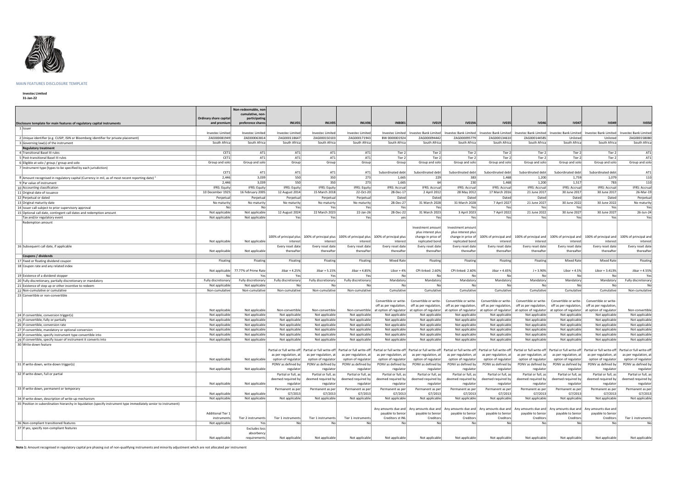

## **MAIN FEATURES DISCLOSURE TEMPLATE**

## **Investec Limited**

**31-Jan-22**

|                                                                                                                  |                          | Non-redeemable, non                 |                       |                                                                                             |                       |                        |                        |                                                                                                                                                                                                                                                         |                        |                        |                                                                                               |                        |                                                     |
|------------------------------------------------------------------------------------------------------------------|--------------------------|-------------------------------------|-----------------------|---------------------------------------------------------------------------------------------|-----------------------|------------------------|------------------------|---------------------------------------------------------------------------------------------------------------------------------------------------------------------------------------------------------------------------------------------------------|------------------------|------------------------|-----------------------------------------------------------------------------------------------|------------------------|-----------------------------------------------------|
|                                                                                                                  |                          | cumulative, non-                    |                       |                                                                                             |                       |                        |                        |                                                                                                                                                                                                                                                         |                        |                        |                                                                                               |                        |                                                     |
|                                                                                                                  | Ordinary share capital   | participating                       |                       |                                                                                             |                       |                        |                        |                                                                                                                                                                                                                                                         |                        |                        |                                                                                               |                        |                                                     |
| Disclosure template for main features of regulatory capital instruments                                          | and premium              | preference shares                   | INLV01                | INLV05                                                                                      | INLV06                | <b>INB001</b>          | <b>IV019</b>           | <b>IV019A</b>                                                                                                                                                                                                                                           | <b>IV035</b>           | <b>IV046</b>           | <b>IV047</b>                                                                                  | <b>IV049</b>           | <b>IV050</b>                                        |
| 1 Issuer                                                                                                         |                          |                                     |                       |                                                                                             |                       |                        |                        |                                                                                                                                                                                                                                                         |                        |                        |                                                                                               |                        |                                                     |
|                                                                                                                  | Investec Limited         | Investec Limited                    | Investec Limited      | Investec Limited                                                                            | Investec Limited      | Investec Limited       | Investec Bank Limited  |                                                                                                                                                                                                                                                         |                        |                        | Investec Bank Limited   Investec Bank Limited   Investec Bank Limited   Investec Bank Limited | Investec Bank Limited  | Investec Bank Limited                               |
| 2 Unique identifier (e.g. CUSIP, ISIN or Bloomberg identifier for private placement)                             | ZAE000081949             | ZAE000063814                        | ZAG000118647          | ZAG000150103                                                                                | ZAG000171943          | BW 0000001924          | ZAG000094442           | ZAG000095779                                                                                                                                                                                                                                            | ZAG000134610           | ZAG000144585           | Unlisted                                                                                      | Unlisted               | ZAG000158080                                        |
| 3 Governing law(s) of the instrument                                                                             | South Africa             | South Africa                        | South Africa          | South Africa                                                                                | South Africa          | South Africa           | South Africa           | South Africa                                                                                                                                                                                                                                            | South Africa           | South Africa           | South Africa                                                                                  | South Africa           | South Africa                                        |
| <b>Regulatory treatment</b>                                                                                      |                          |                                     |                       |                                                                                             |                       |                        |                        |                                                                                                                                                                                                                                                         |                        |                        |                                                                                               |                        |                                                     |
| 4 Transitional Basel III rules                                                                                   | CET1                     | AT1                                 | AT1                   | AT1                                                                                         | AT1                   | Tier 2                 | Tier 2                 | Tier 2                                                                                                                                                                                                                                                  | Tier 2                 | Tier 2                 | Tier 2                                                                                        | Tier 2                 | AT1                                                 |
| 5 Post-transitional Basel III rules                                                                              | CET1                     | AT1                                 | AT1                   | AT1                                                                                         | AT1                   | Tier 2                 | Tier 2                 | Tier 2                                                                                                                                                                                                                                                  | Tier 2                 | Tier 2                 | Tier 2                                                                                        | Tier 2                 | AT1                                                 |
| 6 Eligible at solo / group / group and solo                                                                      | Group and solo           | Group and solo                      | Group                 | Group                                                                                       | Group                 | Group                  | Group and solo         | Group and solo                                                                                                                                                                                                                                          | Group and solo         | Group and solo         | Group and solo                                                                                | Group and solo         | Group and solo                                      |
|                                                                                                                  |                          |                                     |                       |                                                                                             |                       |                        |                        |                                                                                                                                                                                                                                                         |                        |                        |                                                                                               |                        |                                                     |
| 7 Instrument type (types to be specified by each jurisdiction)                                                   |                          |                                     |                       |                                                                                             |                       |                        | Subordinated debt      |                                                                                                                                                                                                                                                         | Subordinated debt      |                        |                                                                                               |                        |                                                     |
|                                                                                                                  | CET1                     | AT1                                 | AT1                   | AT1                                                                                         | AT1                   | Subordinated debt      |                        | Subordinated debt                                                                                                                                                                                                                                       |                        | Subordinated debt      | Subordinated debt                                                                             | Subordinated debt      | AT1                                                 |
| 8 Amount recognised in regulatory capital (Currency in mil, as of most recent reporting date)                    | 2,446                    | 3,039                               | 550                   | 350                                                                                         | 273                   | 1,665                  | 229                    | 383                                                                                                                                                                                                                                                     | 1,468                  | 1,200                  | 1,759                                                                                         | 1,079                  | 110                                                 |
| 9   Par value of instrument                                                                                      | 2,446                    | 3,039                               | 550                   | 350                                                                                         | 273                   | 1,665                  | 64 l                   | 230                                                                                                                                                                                                                                                     | 1,468                  | 1,200                  | 1,517                                                                                         | 783                    | 110                                                 |
| 10 Accounting classification                                                                                     | IFRS: Equity             | <b>IFRS: Equity</b>                 | IFRS: Equity          | IFRS: Equity                                                                                | IFRS: Equity          | IFRS: Accrual          | <b>IFRS: Accrual</b>   | IFRS: Accrual                                                                                                                                                                                                                                           | <b>IFRS: Accrual</b>   | IFRS: Accrual          | IFRS: Accrual                                                                                 | <b>IFRS: Accrual</b>   | <b>IFRS: Accrual</b>                                |
| 11 Original date of issuance                                                                                     | 10 December 1925         | 16 February 2005                    | 12 August 2014        | 15 March 2018                                                                               | 22-Oct-20             | 28-Dec-17              | 2 April 2012           | 28 May 2012                                                                                                                                                                                                                                             | 17 March 2016          | 21 June 2017           | 30 June 2017                                                                                  | 30 June 201            | 26-Mar-19                                           |
| 12 Perpetual or dated                                                                                            | Perpetual                | Perpetual                           | Perpetual             | Perpetual                                                                                   | Perpetual             | Dated                  | Dated                  | Dated                                                                                                                                                                                                                                                   | Dated                  | <b>Dated</b>           | Dated                                                                                         | Dated                  | Perpetual                                           |
| 13 Original maturity date                                                                                        | No maturity              | No maturity                         | No maturity           | No matuirty                                                                                 | No maturity           | 28-Dec-27              | 31 March 2028          | 31 March 2028                                                                                                                                                                                                                                           | 7 April 2027           | 21 June 2027           | 30 June 2022                                                                                  | 30 June 2022           | No maturity                                         |
| 14 Issuer call subject to prior supervisory approval                                                             | No                       | No                                  | Yes                   | Yes                                                                                         | Yes                   | Yes                    | Yes                    | Yes                                                                                                                                                                                                                                                     | Yes                    | Yes                    | Yes                                                                                           | Yes                    | Yes                                                 |
| 15 Optional call date, contingent call dates and redemption amount                                               | Not applicable           | Not applicable                      | 12 August 2024        | 22 March 2023                                                                               | 22-Jan-26             | 28-Dec-22              | 31 March 2023          | 3 April 2023                                                                                                                                                                                                                                            | 7 April 2022           | 21 June 2022           | 30 June 2027                                                                                  | 30 June 2027           | 26-Jun-24                                           |
|                                                                                                                  |                          |                                     | Yes                   | Yes                                                                                         | Yes                   |                        | Yes                    |                                                                                                                                                                                                                                                         | Yes                    | Yes                    | Yes                                                                                           | Yes                    |                                                     |
| Tax and/or regulatory event                                                                                      | Not applicable           | Not applicable                      |                       |                                                                                             |                       | yes                    |                        | Yes                                                                                                                                                                                                                                                     |                        |                        |                                                                                               |                        | Yes                                                 |
| Redemption amount                                                                                                |                          |                                     |                       |                                                                                             |                       |                        |                        |                                                                                                                                                                                                                                                         |                        |                        |                                                                                               |                        |                                                     |
|                                                                                                                  |                          |                                     |                       |                                                                                             |                       |                        | Investment amount      | Investment amount                                                                                                                                                                                                                                       |                        |                        |                                                                                               |                        |                                                     |
|                                                                                                                  |                          |                                     |                       |                                                                                             |                       |                        | plus interest plus     | plus interest plus                                                                                                                                                                                                                                      |                        |                        |                                                                                               |                        |                                                     |
|                                                                                                                  |                          |                                     |                       | 100% of principal plus 100% of principal plus 100% of principal plus 100% of principal plus |                       |                        | change in price of     | change in price of                                                                                                                                                                                                                                      |                        |                        | 100% of principal and 100% of principal and 100% of principal and 100% of principal and       |                        | 100% of principal and                               |
|                                                                                                                  | Not applicable           | Not applicable                      | interest              | interest                                                                                    | interest              | interest               | replicated bond        | replicated bond                                                                                                                                                                                                                                         | interest               | interest               | interest                                                                                      | interest               | interest                                            |
| 16 Subsequent call date, if applicable                                                                           |                          |                                     | Every reset date      | Every reset date                                                                            | Every reset date      | Every reset date       | Every reset date       | Every reset date                                                                                                                                                                                                                                        | Every reset date       | Every reset date       | Every reset date                                                                              | Every reset date       | Every reset date                                    |
|                                                                                                                  | Not applicable           | Not applicable                      | thereafter            | thereafter                                                                                  | thereafter            | thereafter             | thereafter             | thereafter                                                                                                                                                                                                                                              | thereafter             | thereafter             | thereafter                                                                                    | thereafter             | thereafter                                          |
| Coupons / dividends                                                                                              |                          |                                     |                       |                                                                                             |                       |                        |                        |                                                                                                                                                                                                                                                         |                        |                        |                                                                                               |                        |                                                     |
| 17 Fixed or floating dividend coupon                                                                             | <b>Floating</b>          | Floating                            | Floating              | <b>Floating</b>                                                                             | <b>Floating</b>       | <b>Mixed Rate</b>      | <b>Floating</b>        | <b>Floating</b>                                                                                                                                                                                                                                         | <b>Floating</b>        | Floating               | <b>Mixed Rate</b>                                                                             | <b>Mixed Rate</b>      | Floating                                            |
| 18 Coupon rate and any related index                                                                             |                          |                                     |                       |                                                                                             |                       |                        |                        |                                                                                                                                                                                                                                                         |                        |                        |                                                                                               |                        |                                                     |
|                                                                                                                  |                          | Not applicable 77.77% of Prime Rate | Jibar + 4.25%         | Jibar + 5.15%                                                                               | Jibar + 4.85%         | Libor $+4%$            | CPI-linked: 2.60%      | CPI-linked: 2.60%                                                                                                                                                                                                                                       | Jibar + 4.65%          | $J + 3.90%$            | Libor + $4.5%$                                                                                | Libor + 3.413%         | Jibar + 4.55%                                       |
| 19 Existence of a dividend stopper                                                                               | No l                     | Yes                                 | Yesl                  | Yesl                                                                                        | Yesl                  | No                     | No                     | Nol                                                                                                                                                                                                                                                     | No                     | No                     | Nol                                                                                           | <b>No</b>              | Yes                                                 |
| 20 Fully discretionary, partially discretionary or mandatory                                                     | Fully discretionary      | Fully discretionary                 | Fully discretionary   | Fully discretionary                                                                         | Fully discretionary   | Mandatory              | Mandatory              | Mandatory                                                                                                                                                                                                                                               | Mandatory              | Mandatory              | Mandatory                                                                                     | Mandatory              | Fully discretionary                                 |
|                                                                                                                  | Not applicable           | Not applicable                      | No                    | No                                                                                          | No                    | No                     | No                     | No                                                                                                                                                                                                                                                      | No                     | No                     | No                                                                                            | Nol                    | No                                                  |
| 21 Existence of step up or other incentive to redeem                                                             |                          |                                     |                       |                                                                                             |                       |                        |                        |                                                                                                                                                                                                                                                         | Cumulative             | Cumulative             | Cumulative                                                                                    | Cumulative             |                                                     |
| 22 Non-cumulative or cumulative                                                                                  | Non-cumulative           | Non-cumulative                      | Non-cumulative        | Non-cumulative                                                                              | Non-cumulative        | Cumulative             | Cumulative             | Cumulative                                                                                                                                                                                                                                              |                        |                        |                                                                                               |                        | Non-cumulative                                      |
| 23 Convertible or non-convertible                                                                                |                          |                                     |                       |                                                                                             |                       |                        |                        |                                                                                                                                                                                                                                                         |                        |                        |                                                                                               |                        |                                                     |
|                                                                                                                  |                          |                                     |                       |                                                                                             |                       | Convertible or write-  | Convertible or write-  | Convertible or write-                                                                                                                                                                                                                                   | Convertible or write-  | Convertible or write-  | Convertible or write-                                                                         | Convertible or write-  |                                                     |
|                                                                                                                  |                          |                                     |                       |                                                                                             |                       | off as per regulation, | off as per regulation, | off as per regulation,                                                                                                                                                                                                                                  | off as per regulation, | off as per regulation, | off as per regulation,                                                                        | off as per regulation, |                                                     |
|                                                                                                                  | Not applicable           | Not applicable                      | Non-convertible       | Non-convertible                                                                             |                       |                        |                        | Non-convertible at option of regulator at option of regulator at option of regulator at option of regulator at option of regulator at option of regulator at option of regulator at option of regulator at option of regulator                          |                        |                        |                                                                                               | at option of regulator | Non-convertible                                     |
| 24 lif convertible, conversion trigger(s)                                                                        | Not applicable           | Not applicable                      | Not applicable        | Not applicable                                                                              | Not applicable        | Not applicable         | Not applicable         | Not applicable                                                                                                                                                                                                                                          | Not applicable         | Not applicable         | Not applicable                                                                                | Not applicable         | Not applicable                                      |
| 25 if convertible, fully or partially                                                                            | Not applicable           | Not applicable                      | Not applicable        | Not applicable                                                                              | Not applicable        | Not applicable         | Not applicable         | Not applicable                                                                                                                                                                                                                                          | Not applicable         | Not applicable         | Not applicable                                                                                | Not applicable         | Not applicable                                      |
| 26 lif convertible, conversion rate                                                                              | Not applicable           | Not applicable                      | Not applicable        | Not applicable                                                                              | Not applicable        | Not applicable         | Not applicable         | Not applicable                                                                                                                                                                                                                                          | Not applicable         | Not applicable         | Not applicable                                                                                | Not applicable         | Not applicable                                      |
| 27 if convertible, mandatory or optional conversion                                                              | Not applicable           | Not applicable                      | Not applicable        | Not applicable                                                                              | Not applicable        | Not applicable         | Not applicable         | Not applicable                                                                                                                                                                                                                                          | Not applicable         | Not applicable         | Not applicable                                                                                | Not applicable         | Not applicable                                      |
| 28 if convertible, specify instrument type convertible into                                                      | Not applicable           | Not applicable                      | Not applicable        | Not applicable                                                                              | Not applicable        | Not applicable         | Not applicable         | Not applicable                                                                                                                                                                                                                                          | Not applicable         | Not applicable         | Not applicable                                                                                | Not applicable         | Not applicable                                      |
| 29 if convertible, specify issuer of instrument it converts into                                                 | Not applicable           | Not applicable                      | Not applicable        | Not applicable                                                                              | Not applicable        | Not applicable         | Not applicable         | Not applicable                                                                                                                                                                                                                                          | Not applicable         | Not applicable         | Not applicable                                                                                | Not applicable         | Not applicable                                      |
| 30 Write-down feature                                                                                            |                          |                                     |                       |                                                                                             |                       |                        |                        |                                                                                                                                                                                                                                                         |                        |                        |                                                                                               |                        |                                                     |
|                                                                                                                  |                          |                                     |                       |                                                                                             |                       |                        |                        |                                                                                                                                                                                                                                                         |                        |                        |                                                                                               |                        | Partial or full write-off Partial or full write-off |
|                                                                                                                  |                          |                                     | as per regulation, at | as per regulation, at                                                                       | as per regulation, at | as per regulation, at  | as per regulation, at  | Partial or full write-off  Partial or full write-off  Partial or full write-off  Partial or full write-off  Partial or full write-off  Partial or full write-off  Partial or full write-off  Partial or full write-off  Partia<br>as per regulation, at | as per regulation, at  | as per regulation, at  | as per regulation, at                                                                         | as per regulation, at  | as per regulation, at                               |
|                                                                                                                  | Not applicable           | Not applicable                      | option of regulator   | option of regulator                                                                         | option of regulator   | option of regulator    | option of regulator    | option of regulator                                                                                                                                                                                                                                     | option of regulator    | option of regulator    | option of regulator                                                                           | option of regulator    | option of regulator                                 |
|                                                                                                                  |                          |                                     |                       |                                                                                             |                       |                        |                        |                                                                                                                                                                                                                                                         |                        |                        |                                                                                               |                        |                                                     |
| 31 If write-down, write-down trigger(s                                                                           |                          |                                     | PONV as defined by    | PONV as defined by                                                                          | PONV as defined by    | PONV as defined by     | PONV as defined by     | PONV as defined by                                                                                                                                                                                                                                      | PONV as defined by     | PONV as defined by     | PONV as defined by                                                                            | PONV as defined by     | PONV as defined by                                  |
|                                                                                                                  | Not applicable           | Not applicable                      | regulator             | regulator                                                                                   | regulator             | regulator              | regulator              | regulator                                                                                                                                                                                                                                               | regulator              | regulator              | regulato                                                                                      | regulator              | regulator                                           |
| 32 If write-down, full or partial                                                                                |                          |                                     | Partial or full, as   | Partial or full, as                                                                         | Partial or full, as   | Partial or full, as    | Partial or full, as    | Partial or full, as                                                                                                                                                                                                                                     | Partial or full, as    | Partial or full, as    | Partial or full, as                                                                           | Partial or full, as    | Partial or full, as                                 |
|                                                                                                                  |                          |                                     | deemed required by    | deemed required by                                                                          | deemed required by    | deemed required by     | deemed required by     | deemed required by                                                                                                                                                                                                                                      | deemed required by     | deemed required by     | deemed required by                                                                            | deemed required by     | deemed required by                                  |
|                                                                                                                  | Not applicable           | Not applicable                      | regulato              | regulator                                                                                   | regulator             | regulator              | regulato               | regulator                                                                                                                                                                                                                                               | regulator              | regulator              | regulato                                                                                      | regulato               | regulator                                           |
| 33 If write-down, permanent or temporary                                                                         |                          |                                     | Permanent as per      | Permanent as per                                                                            | Permanent as per      | Permanent as per       | Permanent as per       | Permanent as per                                                                                                                                                                                                                                        | Permanent as per       | Permanent as per       | Permanent as pe                                                                               | Permanent as per       | Permanent as per                                    |
|                                                                                                                  | Not applicable           | Not applicable                      | G7/2013               | G7/2013                                                                                     | G7/2013               | G7/2013                | G7/2013                | G7/2013                                                                                                                                                                                                                                                 | G7/2013                | G7/2013                | G7/201                                                                                        | G7/201                 | G7/2013                                             |
| 34 If write-down, description of write-up mechanism                                                              | Not applicable           | Not applicable                      | Not applicable        | Not applicable                                                                              | Not applicable        | Not applicable         | Not applicable         | Not applicable                                                                                                                                                                                                                                          | Not applicable         | Not applicable         | Not applicable                                                                                | Not applicable         | Not applicable                                      |
| 35 Position in subordination hierarchy in liquidation (specify instrument type immediately senior to instrument) |                          |                                     |                       |                                                                                             |                       |                        |                        |                                                                                                                                                                                                                                                         |                        |                        |                                                                                               |                        |                                                     |
|                                                                                                                  |                          |                                     |                       |                                                                                             |                       |                        |                        | Any amounts due and   Any amounts due and   Any amounts due and   Any amounts due and   Any amounts due and   Any amounts due and                                                                                                                       |                        |                        |                                                                                               | Any amounts due and    |                                                     |
|                                                                                                                  | <b>Additional Tier 1</b> |                                     |                       |                                                                                             |                       | payable to Senior      | payable to Senior      | payable to Senior                                                                                                                                                                                                                                       | payable to Senior      | payable to Senior      | payable to Senior                                                                             | payable to Senior      |                                                     |
|                                                                                                                  | instruments              | Tier 2 instruments                  | Tier 1 instruments    | Tier 1 instruments                                                                          | Tier 1 instruments    | Creditors st INL       | Creditors              | Creditors                                                                                                                                                                                                                                               | Creditors              | Creditors              | Creditors                                                                                     | Creditors              | Tier 1 instruments                                  |
| 36 Non-compliant transitioned features                                                                           | Not applicable           | Yes                                 | Nol                   | No                                                                                          | No                    | No                     | No l                   | No                                                                                                                                                                                                                                                      | No                     | No                     | Nol                                                                                           | No                     | No                                                  |
| 37 If yes, specify non-compliant features                                                                        |                          |                                     |                       |                                                                                             |                       |                        |                        |                                                                                                                                                                                                                                                         |                        |                        |                                                                                               |                        |                                                     |
|                                                                                                                  |                          | Excludes loss                       |                       |                                                                                             |                       |                        |                        |                                                                                                                                                                                                                                                         |                        |                        |                                                                                               |                        |                                                     |
|                                                                                                                  |                          | absorbency                          |                       |                                                                                             |                       |                        |                        |                                                                                                                                                                                                                                                         |                        |                        |                                                                                               |                        |                                                     |
|                                                                                                                  | Not applicable           | requirements                        | Not applicable        | Not applicable                                                                              | Not applicable        | Not applicable         | Not applicable         | Not applicable                                                                                                                                                                                                                                          | Not applicable         | Not applicable         | Not applicable                                                                                | Not applicable         | Not applicable                                      |

**Note 1:** Amount recognised in regulatory capital pre phasing out of non-qualifying instruments and minority adjustment which are not allocated per instrument